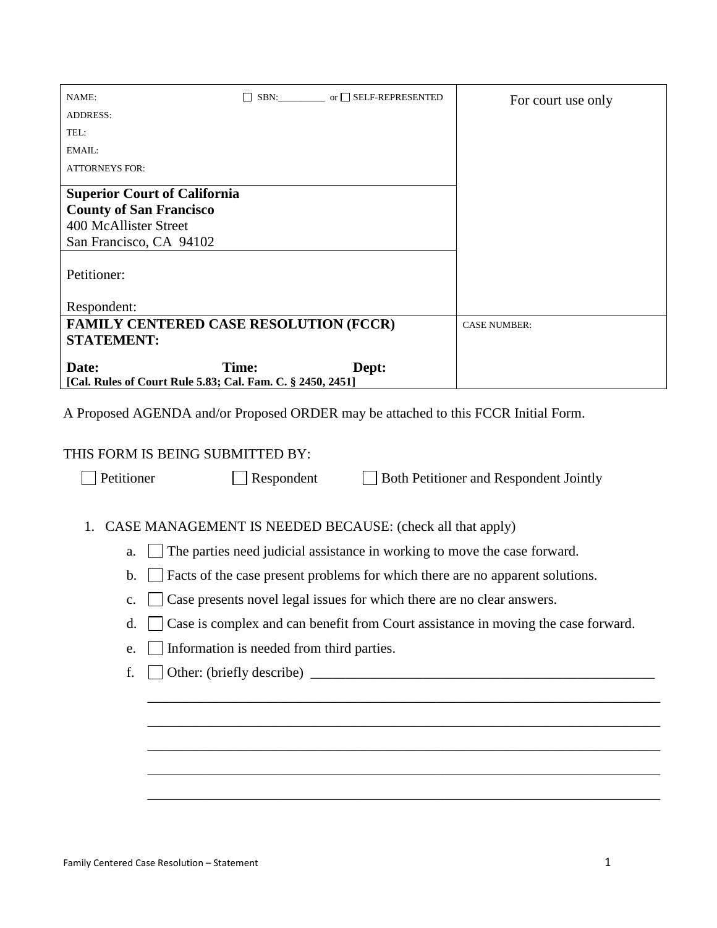| NAME:                                                                                                                                                   |       | $\Box$ SBN: or $\Box$ SELF-REPRESENTED | For court use only  |
|---------------------------------------------------------------------------------------------------------------------------------------------------------|-------|----------------------------------------|---------------------|
| <b>ADDRESS:</b>                                                                                                                                         |       |                                        |                     |
| TEL:                                                                                                                                                    |       |                                        |                     |
| EMAIL:                                                                                                                                                  |       |                                        |                     |
| <b>ATTORNEYS FOR:</b>                                                                                                                                   |       |                                        |                     |
| <b>Superior Court of California</b><br><b>County of San Francisco</b><br>400 McAllister Street<br>San Francisco, CA 94102<br>Petitioner:<br>Respondent: |       |                                        |                     |
| FAMILY CENTERED CASE RESOLUTION (FCCR)                                                                                                                  |       |                                        | <b>CASE NUMBER:</b> |
| <b>STATEMENT:</b>                                                                                                                                       |       |                                        |                     |
| Date:<br>[Cal. Rules of Court Rule 5.83; Cal. Fam. C. § 2450, 2451]                                                                                     | Time: | Dept:                                  |                     |

A Proposed AGENDA and/or Proposed ORDER may be attached to this FCCR Initial Form.

## THIS FORM IS BEING SUBMITTED BY:

**Petitioner Respondent Respondent Respondent Respondent Respondent Respondent Respondent Respondent** 

## 1. CASE MANAGEMENT IS NEEDED BECAUSE: (check all that apply)

- a.  $\Box$  The parties need judicial assistance in working to move the case forward.
- b. **Facts of the case present problems for which there are no apparent solutions.**
- c.  $\Box$  Case presents novel legal issues for which there are no clear answers.
- d. Case is complex and can benefit from Court assistance in moving the case forward.

\_\_\_\_\_\_\_\_\_\_\_\_\_\_\_\_\_\_\_\_\_\_\_\_\_\_\_\_\_\_\_\_\_\_\_\_\_\_\_\_\_\_\_\_\_\_\_\_\_\_\_\_\_\_\_\_\_\_\_\_\_\_\_\_\_\_\_\_\_\_\_\_\_

\_\_\_\_\_\_\_\_\_\_\_\_\_\_\_\_\_\_\_\_\_\_\_\_\_\_\_\_\_\_\_\_\_\_\_\_\_\_\_\_\_\_\_\_\_\_\_\_\_\_\_\_\_\_\_\_\_\_\_\_\_\_\_\_\_\_\_\_\_\_\_\_\_

\_\_\_\_\_\_\_\_\_\_\_\_\_\_\_\_\_\_\_\_\_\_\_\_\_\_\_\_\_\_\_\_\_\_\_\_\_\_\_\_\_\_\_\_\_\_\_\_\_\_\_\_\_\_\_\_\_\_\_\_\_\_\_\_\_\_\_\_\_\_\_\_\_

\_\_\_\_\_\_\_\_\_\_\_\_\_\_\_\_\_\_\_\_\_\_\_\_\_\_\_\_\_\_\_\_\_\_\_\_\_\_\_\_\_\_\_\_\_\_\_\_\_\_\_\_\_\_\_\_\_\_\_\_\_\_\_\_\_\_\_\_\_\_\_\_\_

\_\_\_\_\_\_\_\_\_\_\_\_\_\_\_\_\_\_\_\_\_\_\_\_\_\_\_\_\_\_\_\_\_\_\_\_\_\_\_\_\_\_\_\_\_\_\_\_\_\_\_\_\_\_\_\_\_\_\_\_\_\_\_\_\_\_\_\_\_\_\_\_\_

- e. Information is needed from third parties.
- $f. \Box$  Other: (briefly describe)  $\Box$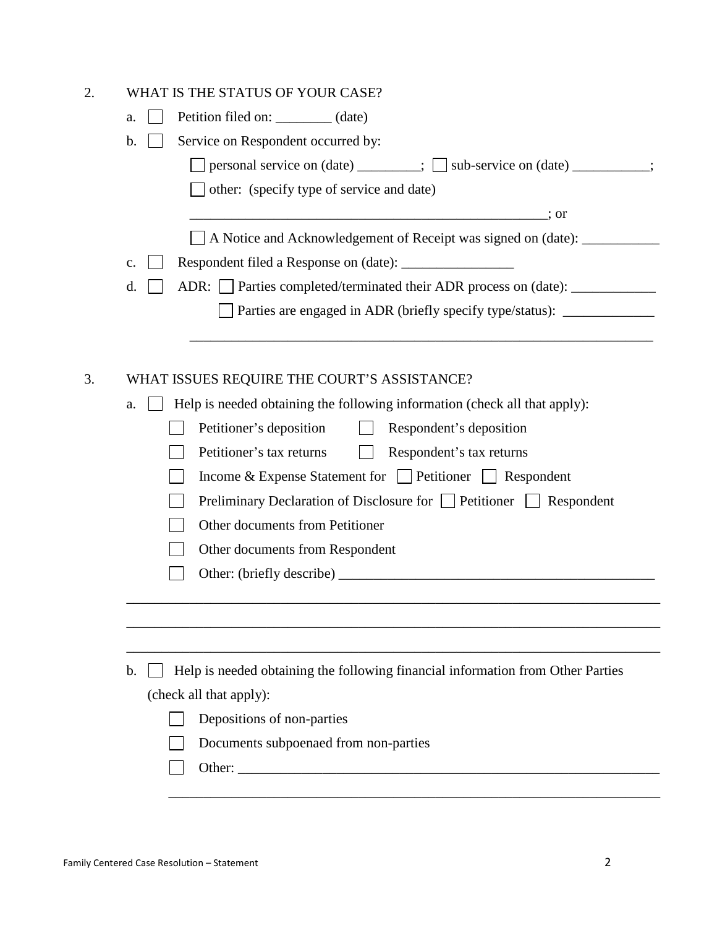| personal service on (date) _______; sub-service on (date) _______;               |
|----------------------------------------------------------------------------------|
|                                                                                  |
| $\therefore$ or                                                                  |
| A Notice and Acknowledgement of Receipt was signed on (date): _________          |
|                                                                                  |
| ADR: Parties completed/terminated their ADR process on (date): _________________ |
| Parties are engaged in ADR (briefly specify type/status): ______________________ |
|                                                                                  |
|                                                                                  |
|                                                                                  |
| Help is needed obtaining the following information (check all that apply):       |
|                                                                                  |
|                                                                                  |
| Income & Expense Statement for $\Box$ Petitioner $\Box$ Respondent               |
| Preliminary Declaration of Disclosure for Petitioner Respondent                  |
|                                                                                  |
|                                                                                  |
|                                                                                  |
|                                                                                  |
|                                                                                  |
|                                                                                  |
|                                                                                  |
| Help is needed obtaining the following financial information from Other Parties  |
|                                                                                  |
|                                                                                  |
|                                                                                  |
|                                                                                  |
|                                                                                  |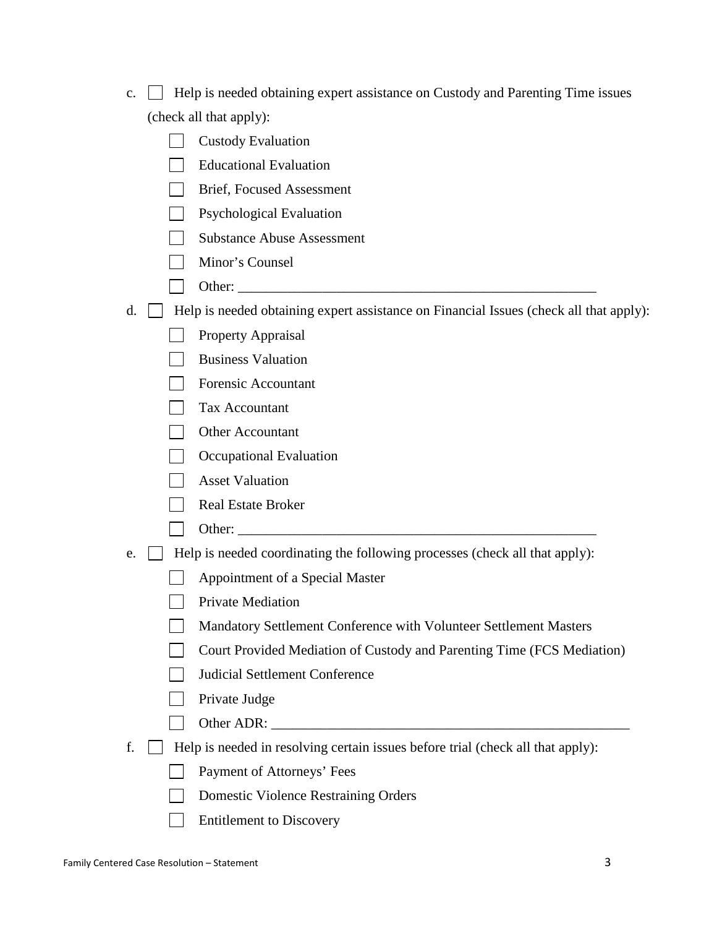- c.  $\Box$  Help is needed obtaining expert assistance on Custody and Parenting Time issues (check all that apply):
	- **Custody Evaluation**
	- Educational Evaluation
	- **Brief, Focused Assessment**
	- Psychological Evaluation
	- Substance Abuse Assessment
	- Minor's Counsel
	- $\Box$  Other:
- d.  $\Box$  Help is needed obtaining expert assistance on Financial Issues (check all that apply):
	- $\Box$  Property Appraisal
	- **Business Valuation**
	- **Forensic Accountant**
	- Tax Accountant
	- Other Accountant
	- **C** Occupational Evaluation
	- **Asset Valuation**
	- Real Estate Broker
	- $\Box$  Other:
- e.  $\Box$  Help is needed coordinating the following processes (check all that apply):
	- **Exercise 2** Appointment of a Special Master
	- $\Box$  Private Mediation
	- Mandatory Settlement Conference with Volunteer Settlement Masters
	- Court Provided Mediation of Custody and Parenting Time (FCS Mediation)
	- **Judicial Settlement Conference**
	- $\Box$  Private Judge
	- Other ADR: \_\_\_\_\_\_\_\_\_\_\_\_\_\_\_\_\_\_\_\_\_\_\_\_\_\_\_\_\_\_\_\_\_\_\_\_\_\_\_\_\_\_\_\_\_\_\_\_\_\_\_
- f.  $\Box$  Help is needed in resolving certain issues before trial (check all that apply):
	- **Payment of Attorneys' Fees**
	- **Domestic Violence Restraining Orders**
	- Entitlement to Discovery